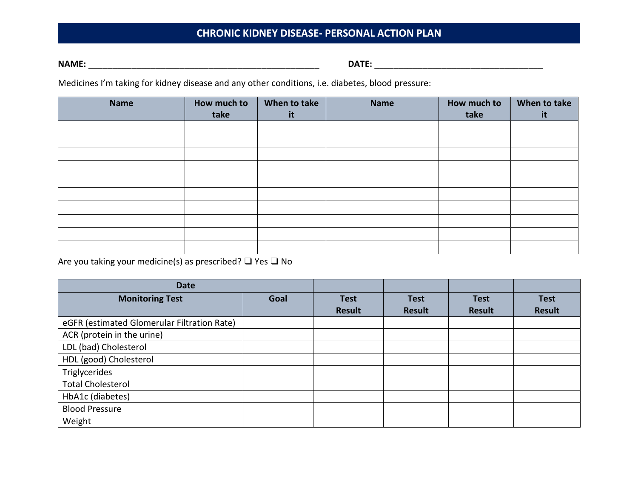# **CHRONIC KIDNEY DISEASE- PERSONAL ACTION PLAN**

**NAME:** \_\_\_\_\_\_\_\_\_\_\_\_\_\_\_\_\_\_\_\_\_\_\_\_\_\_\_\_\_\_\_\_\_\_\_\_\_\_\_\_\_\_\_\_\_\_\_\_ **DATE:** \_\_\_\_\_\_\_\_\_\_\_\_\_\_\_\_\_\_\_\_\_\_\_\_\_\_\_\_\_\_\_\_\_\_\_

Medicines I'm taking for kidney disease and any other conditions, i.e. diabetes, blood pressure:

| <b>Name</b> | How much to<br>take | When to take<br>it | <b>Name</b> | How much to<br>take | When to take<br>it |
|-------------|---------------------|--------------------|-------------|---------------------|--------------------|
|             |                     |                    |             |                     |                    |
|             |                     |                    |             |                     |                    |
|             |                     |                    |             |                     |                    |
|             |                     |                    |             |                     |                    |
|             |                     |                    |             |                     |                    |
|             |                     |                    |             |                     |                    |
|             |                     |                    |             |                     |                    |
|             |                     |                    |             |                     |                    |
|             |                     |                    |             |                     |                    |
|             |                     |                    |             |                     |                    |

Are you taking your medicine(s) as prescribed? ❑ Yes ❑ No

| <b>Date</b>                                 |      |               |               |               |               |
|---------------------------------------------|------|---------------|---------------|---------------|---------------|
| <b>Monitoring Test</b>                      | Goal | <b>Test</b>   | <b>Test</b>   | <b>Test</b>   | <b>Test</b>   |
|                                             |      | <b>Result</b> | <b>Result</b> | <b>Result</b> | <b>Result</b> |
| eGFR (estimated Glomerular Filtration Rate) |      |               |               |               |               |
| ACR (protein in the urine)                  |      |               |               |               |               |
| LDL (bad) Cholesterol                       |      |               |               |               |               |
| HDL (good) Cholesterol                      |      |               |               |               |               |
| Triglycerides                               |      |               |               |               |               |
| <b>Total Cholesterol</b>                    |      |               |               |               |               |
| HbA1c (diabetes)                            |      |               |               |               |               |
| <b>Blood Pressure</b>                       |      |               |               |               |               |
| Weight                                      |      |               |               |               |               |